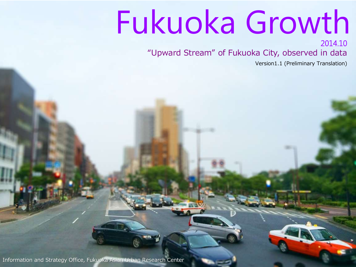# Fukuoka Growth

2014.10 "Upward Stream" of Fukuoka City, observed in data

Version1.1 (Preliminary Translation)

Information and Strategy Office, Fukuoka Asian Urban Research Center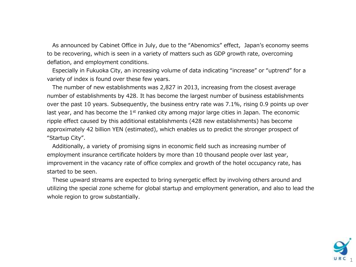As announced by Cabinet Office in July, due to the "Abenomics" effect, Japan's economy seems to be recovering, which is seen in a variety of matters such as GDP growth rate, overcoming deflation, and employment conditions.

Especially in Fukuoka City, an increasing volume of data indicating "increase" or "uptrend" for a variety of index is found over these few years.

The number of new establishments was 2,827 in 2013, increasing from the closest average number of establishments by 428. It has become the largest number of business establishments over the past 10 years. Subsequently, the business entry rate was 7.1%, rising 0.9 points up over last year, and has become the  $1<sup>st</sup>$  ranked city among major large cities in Japan. The economic ripple effect caused by this additional establishments (428 new establishments) has become approximately 42 billion YEN (estimated), which enables us to predict the stronger prospect of "Startup City".

Additionally, a variety of promising signs in economic field such as increasing number of employment insurance certificate holders by more than 10 thousand people over last year, improvement in the vacancy rate of office complex and growth of the hotel occupancy rate, has started to be seen.

These upward streams are expected to bring synergetic effect by involving others around and utilizing the special zone scheme for global startup and employment generation, and also to lead the whole region to grow substantially.

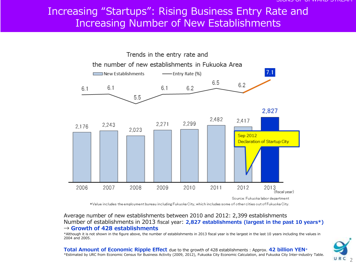### Increasing "Startups": Rising Business Entry Rate and Increasing Number of New Establishments



\*Value includes the employment bureau including Fukuoka City, which includes some of other cities out of Fukuoka City.

#### Average number of new establishments between 2010 and 2012: 2,399 establishments Number of establishments in 2013 fiscal year: 2,827 establishments (largest in the past 10 years\*)  $\rightarrow$  Growth of 428 establishments

\*Although it is not shown in the figure above, the number of establishments in 2013 fiscal year is the largest in the last 10 years including the values in 2004 and 2005.

 $URC<sub>2</sub>$ 

Total Amount of Economic Ripple Effect due to the growth of 428 establishments : Approx. 42 billion YEN\* \*Estimated by URC from Economic Census for Business Activity (2009, 2012), Fukuoka City Economic Calculation, and Fukuoka City Inter-industry Table.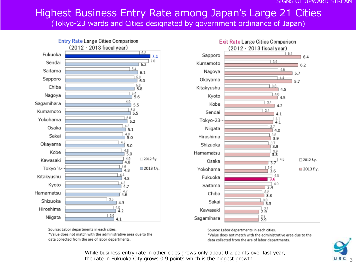# Highest Business Entry Rate among Japan's Large 21 Cities

(Tokyo-23 wards and Cities designated by government ordinance of Japan)





Source: Labor departments in each cities. \*Value does not match with the administrative area due to the data collected from the are of labor departments.



\*Value does not match with the administrative area due to the data collected from the are of labor departments.

> While business entry rate in other cities grows only about 0.2 points over last year, the rate in Fukuoka City grows 0.9 points which is the biggest growth.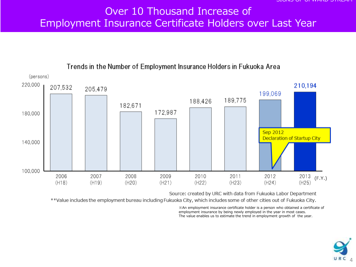#### Over 10 Thousand Increase of Employment Insurance Certificate Holders over Last Year



Trends in the Number of Employment Insurance Holders in Fukuoka Area

Source: created by URC with data from Fukuoka Labor Department

\*\*Value includes the employment bureau including Fukuoka City, which includes some of other cities out of Fukuoka City.

※An employment insurance certificate holder is a person who obtained a certificate of employment insurance by being newly employed in the year in most cases. The value enables us to estimate the trend in employment growth of the year.

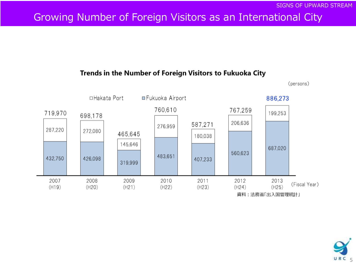# Growing Number of Foreign Visitors as an International City

#### Trends in the Number of Foreign Visitors to Fukuoka City



(persons)

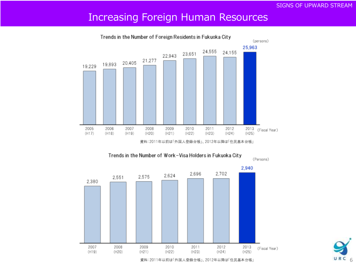#### SIGNS OF UPWARD STREAM

### Increasing Foreign Human Resources



Trends in the Number of Foreign Residents in Fukuoka City





資料:2011年以前は「外国人登録台帳」、2012年以降は「住民基本台帳」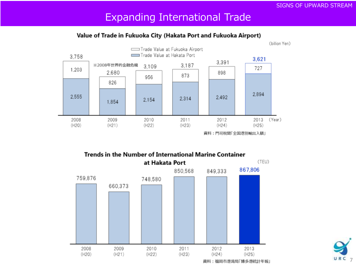### Expanding International Trade

#### Value of Trade in Fukuoka City (Hakata Port and Fukuoka Airport)



#### **Trends in the Number of International Marine Container**



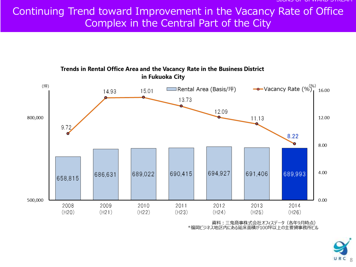# Continuing Trend toward Improvement in the Vacancy Rate of Office Complex in the Central Part of the City



資料:三鬼商事株式会社オフィスデータ (各年9月時点) \*福岡ビジネス地区内にある延床面積が100坪以上の主要貸事務所ビル

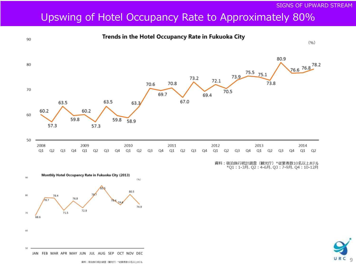$\overline{9}$ 

URC

# Upswing of Hotel Occupancy Rate to Approximately 80%

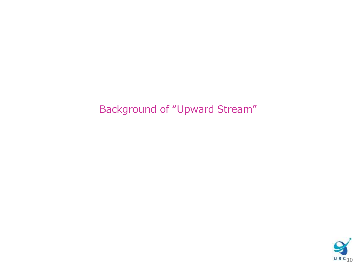# Background of "Upward Stream"

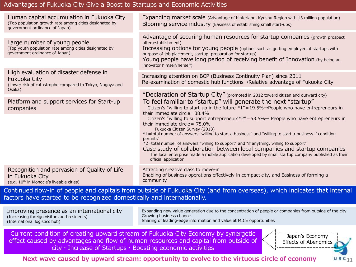#### Advantages of Fukuoka City Give a Boost to Startups and Economic Activities

| Human capital accumulation in Fukuoka City<br>(Top population growth rate among cities designated by<br>government ordinance of Japan) | Expanding market scale (Advantage of hinterland, Kyushu Region with 13 million population)<br>Blooming service industry (Easiness of establishing small start-ups)                                                                                                                                                                                                                                                                                                                                                                     |
|----------------------------------------------------------------------------------------------------------------------------------------|----------------------------------------------------------------------------------------------------------------------------------------------------------------------------------------------------------------------------------------------------------------------------------------------------------------------------------------------------------------------------------------------------------------------------------------------------------------------------------------------------------------------------------------|
| Large number of young people<br>(Top youth population rate among cities designated by<br>government ordinance of Japan)                | Advantage of securing human resources for startup companies (growth prospect<br>after establishment)<br>Increasing options for young people (options such as getting employed at startups with<br>purpose of job placement, startup, preparation for startup)<br>Young people have long period of receiving benefit of Innovation (by being an<br>innovator himself/herself)                                                                                                                                                           |
| High evaluation of disaster defense in<br>Fukuoka City<br>(Lower risk of catastrophe compared to Tokyo, Nagoya and                     | Increasing attention on BCP (Business Continuity Plan) since 2011<br>Re-examination of domestic hub functions→Relative advantage of Fukuoka City                                                                                                                                                                                                                                                                                                                                                                                       |
| Osaka)<br>Platform and support services for Start-up<br>companies                                                                      | "Declaration of Startup City" (promoted in 2012 toward citizen and outward city)<br>To feel familiar to "startup" will generate the next "startup"<br>Citizen's "willing to start-up in the future $*1" = 19.5\% \rightarrow$ People who have entrepreneurs in                                                                                                                                                                                                                                                                         |
| their immediate circle = $75.0\%$<br>Fukuoka Citizen Survey (2013)<br>permits"<br>official application                                 | their immediate circle = $38.4\%$<br>Citizen's "willing to support entrepreneurs * $2'' = 53.5\% \rightarrow$ People who have entrepreneurs in<br>*1=total number of answers "willing to start a business" and "willing to start a business if condition<br>*2=total number of answers "willing to support" and "if anything, willing to support"<br>Case study of collaboration between local companies and startup companies<br>The local enterprise made a mobile application developed by small startup company published as their |
| Recognition and pervasion of Quality of Life<br>in Fukuoka City<br>(e.g. 10 <sup>th</sup> in Monocle's liveable cities)                | Attracting creative class to move-in<br>Enabling of business operations effectively in compact city, and Easiness of forming a<br>community                                                                                                                                                                                                                                                                                                                                                                                            |

Continued flow-in of people and capitals from outside of Fukuoka City (and from overseas), which indicates that internal factors have started to be recognized domestically and internationally.

Improving presence as an international city (Increasing foreign visitors and residents) (International logistics hub) Expanding new value generation due to the concentration of people or companies from outside of the city Growing business chance Sharing of leading-edge information and value at MICE opportunities

Current condition of creating upward stream of Fukuoka City Economy by synergetic effect caused by advantages and flow of human resources and capital from outside of city・Increase of Startups・Boosting economic activities

Japan's Economy Effects of Abenomics

 $URC_{11}$ 

Next wave caused by upward stream: opportunity to evolve to the virtuous circle of economy